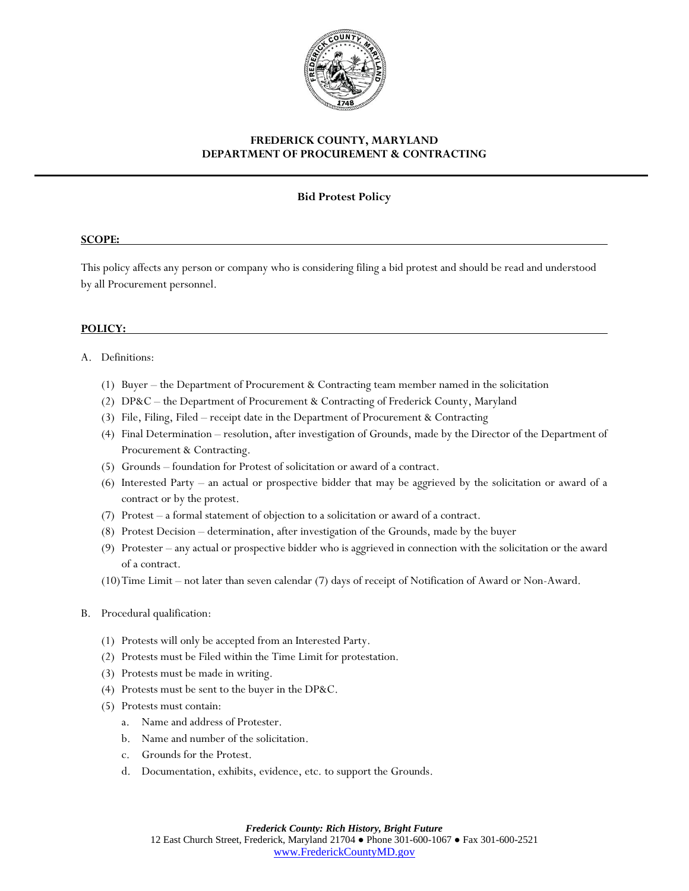

# **FREDERICK COUNTY, MARYLAND DEPARTMENT OF PROCUREMENT & CONTRACTING**

## **Bid Protest Policy**

### **SCOPE:**

This policy affects any person or company who is considering filing a bid protest and should be read and understood by all Procurement personnel.

### **POLICY:**

### A. Definitions:

- (1) Buyer the Department of Procurement & Contracting team member named in the solicitation
- (2) DP&C the Department of Procurement & Contracting of Frederick County, Maryland
- (3) File, Filing, Filed receipt date in the Department of Procurement & Contracting
- (4) Final Determination resolution, after investigation of Grounds, made by the Director of the Department of Procurement & Contracting.
- (5) Grounds foundation for Protest of solicitation or award of a contract.
- (6) Interested Party an actual or prospective bidder that may be aggrieved by the solicitation or award of a contract or by the protest.
- (7) Protest a formal statement of objection to a solicitation or award of a contract.
- (8) Protest Decision determination, after investigation of the Grounds, made by the buyer
- (9) Protester any actual or prospective bidder who is aggrieved in connection with the solicitation or the award of a contract.
- (10)Time Limit not later than seven calendar (7) days of receipt of Notification of Award or Non-Award.

#### B. Procedural qualification:

- (1) Protests will only be accepted from an Interested Party.
- (2) Protests must be Filed within the Time Limit for protestation.
- (3) Protests must be made in writing.
- (4) Protests must be sent to the buyer in the DP&C.
- (5) Protests must contain:
	- a. Name and address of Protester.
	- b. Name and number of the solicitation.
	- c. Grounds for the Protest.
	- d. Documentation, exhibits, evidence, etc. to support the Grounds.